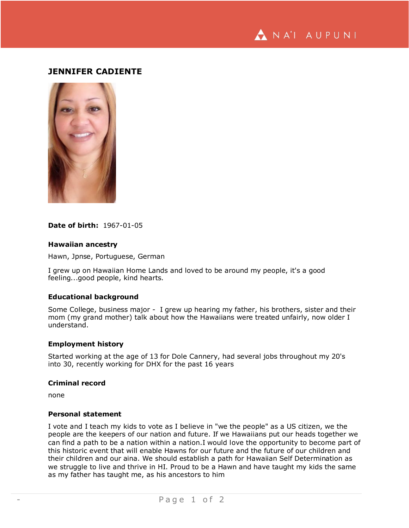NA'I AUPUNI

# **JENNIFER CADIENTE**



# **Date of birth:** 1967-01-05

#### **Hawaiian ancestry**

Hawn, Jpnse, Portuguese, German

I grew up on Hawaiian Home Lands and loved to be around my people, it's a good feeling...good people, kind hearts.

### **Educational background**

Some College, business major - I grew up hearing my father, his brothers, sister and their mom (my grand mother) talk about how the Hawaiians were treated unfairly, now older I understand.

#### **Employment history**

Started working at the age of 13 for Dole Cannery, had several jobs throughout my 20's into 30, recently working for DHX for the past 16 years

# **Criminal record**

none

### **Personal statement**

I vote and I teach my kids to vote as I believe in "we the people" as a US citizen, we the people are the keepers of our nation and future. If we Hawaiians put our heads together we can find a path to be a nation within a nation.I would love the opportunity to become part of this historic event that will enable Hawns for our future and the future of our children and their children and our aina. We should establish a path for Hawaiian Self Determination as we struggle to live and thrive in HI. Proud to be a Hawn and have taught my kids the same as my father has taught me, as his ancestors to him